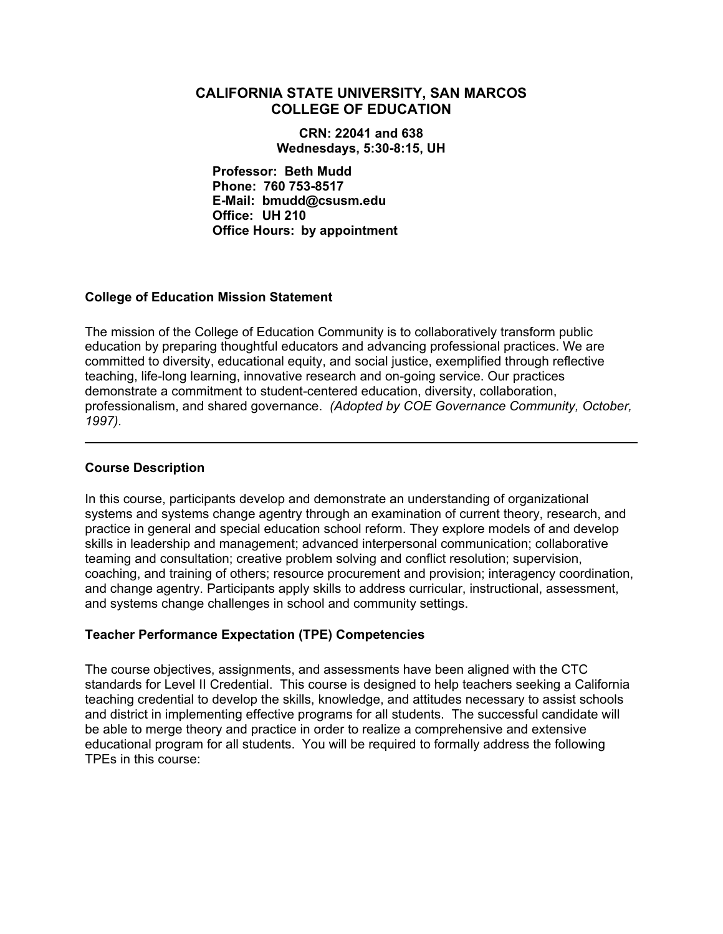# **CALIFORNIA STATE UNIVERSITY, SAN MARCOS COLLEGE OF EDUCATION**

**CRN: 22041 and 638 Wednesdays, 5:30-8:15, UH** 

**Professor: Beth Mudd Phone: 760 753-8517 E-Mail: bmudd@csusm.edu Office: UH 210 Office Hours: by appointment** 

### **College of Education Mission Statement**

The mission of the College of Education Community is to collaboratively transform public education by preparing thoughtful educators and advancing professional practices. We are committed to diversity, educational equity, and social justice, exemplified through reflective teaching, life-long learning, innovative research and on-going service. Our practices demonstrate a commitment to student-centered education, diversity, collaboration, professionalism, and shared governance. *(Adopted by COE Governance Community, October, 1997).* 

### **Course Description**

In this course, participants develop and demonstrate an understanding of organizational systems and systems change agentry through an examination of current theory, research, and practice in general and special education school reform. They explore models of and develop skills in leadership and management; advanced interpersonal communication; collaborative teaming and consultation; creative problem solving and conflict resolution; supervision, coaching, and training of others; resource procurement and provision; interagency coordination, and change agentry. Participants apply skills to address curricular, instructional, assessment, and systems change challenges in school and community settings.

# **Teacher Performance Expectation (TPE) Competencies**

The course objectives, assignments, and assessments have been aligned with the CTC standards for Level II Credential. This course is designed to help teachers seeking a California teaching credential to develop the skills, knowledge, and attitudes necessary to assist schools and district in implementing effective programs for all students. The successful candidate will be able to merge theory and practice in order to realize a comprehensive and extensive educational program for all students. You will be required to formally address the following TPEs in this course: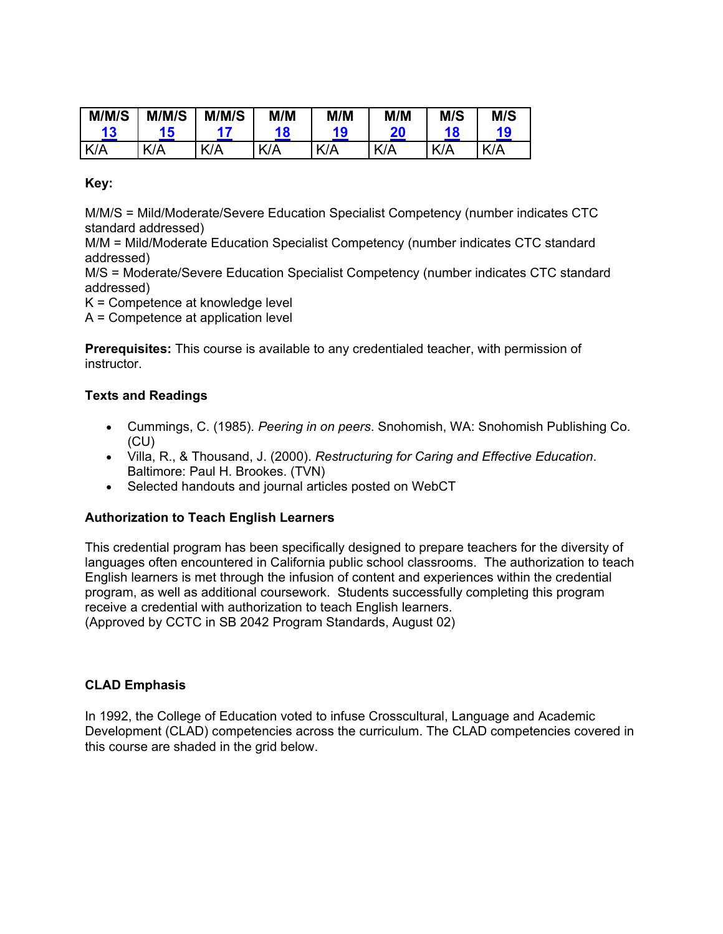| M/M/S | M/M/S | M/M/S                    | M/M        | M/M                | M/M | M/S | M/S |
|-------|-------|--------------------------|------------|--------------------|-----|-----|-----|
| 13    | 15    |                          | 18         | 19                 | 20  |     | 19  |
| K/A   | KIA   | v<br>$\sqrt{\mathsf{A}}$ | $K/\Delta$ | $\mathbf{z}$<br>7Δ | K/A | K/A | K/A |

**Key:**

M/M/S = Mild/Moderate/Severe Education Specialist Competency (number indicates CTC standard addressed)

M/M = Mild/Moderate Education Specialist Competency (number indicates CTC standard addressed)

M/S = Moderate/Severe Education Specialist Competency (number indicates CTC standard addressed)

K = Competence at knowledge level

A = Competence at application level

**Prerequisites:** This course is available to any credentialed teacher, with permission of instructor.

# **Texts and Readings**

- Cummings, C. (1985). *Peering in on peers*. Snohomish, WA: Snohomish Publishing Co. (CU)
- Villa, R., & Thousand, J. (2000). *Restructuring for Caring and Effective Education*. Baltimore: Paul H. Brookes. (TVN)
- Selected handouts and journal articles posted on WebCT

# **Authorization to Teach English Learners**

This credential program has been specifically designed to prepare teachers for the diversity of languages often encountered in California public school classrooms. The authorization to teach English learners is met through the infusion of content and experiences within the credential program, as well as additional coursework. Students successfully completing this program receive a credential with authorization to teach English learners. (Approved by CCTC in SB 2042 Program Standards, August 02)

# **CLAD Emphasis**

In 1992, the College of Education voted to infuse Crosscultural, Language and Academic Development (CLAD) competencies across the curriculum. The CLAD competencies covered in this course are shaded in the grid below.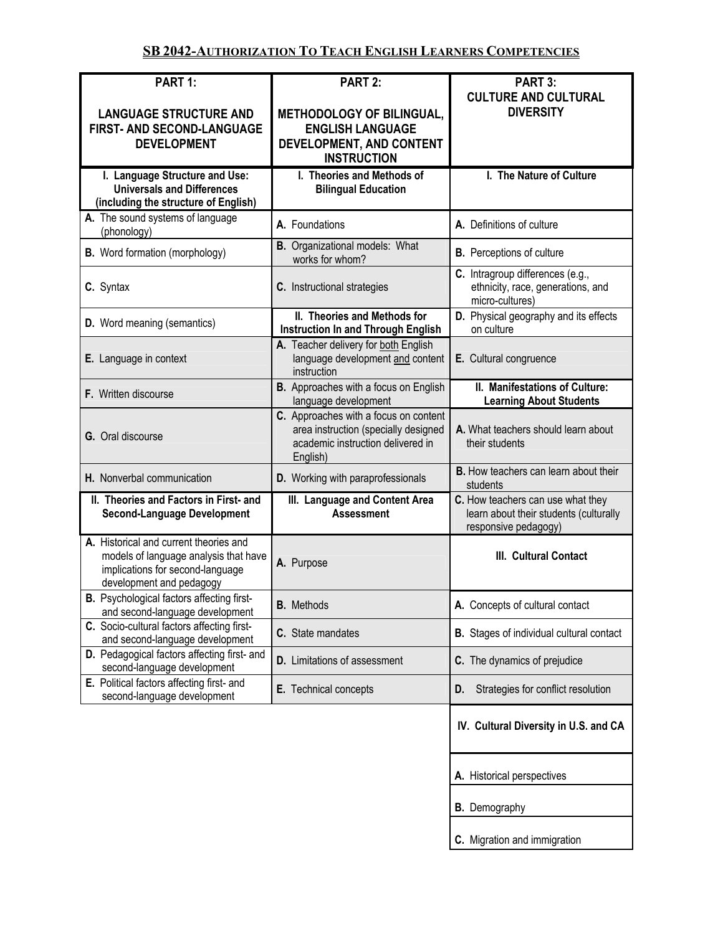# **SB 2042-AUTHORIZATION TO TEACH ENGLISH LEARNERS COMPETENCIES**

| PART 1:                                                                                                                                         | PART 2:                                                                                                                        | PART 3:                                                                                             |
|-------------------------------------------------------------------------------------------------------------------------------------------------|--------------------------------------------------------------------------------------------------------------------------------|-----------------------------------------------------------------------------------------------------|
| <b>LANGUAGE STRUCTURE AND</b><br>FIRST- AND SECOND-LANGUAGE<br><b>DEVELOPMENT</b>                                                               | METHODOLOGY OF BILINGUAL,<br><b>ENGLISH LANGUAGE</b><br>DEVELOPMENT, AND CONTENT<br><b>INSTRUCTION</b>                         | <b>CULTURE AND CULTURAL</b><br><b>DIVERSITY</b>                                                     |
| I. Language Structure and Use:<br><b>Universals and Differences</b><br>(including the structure of English)                                     | I. Theories and Methods of<br><b>Bilingual Education</b>                                                                       | I. The Nature of Culture                                                                            |
| A. The sound systems of language<br>(phonology)                                                                                                 | A. Foundations                                                                                                                 | A. Definitions of culture                                                                           |
| <b>B.</b> Word formation (morphology)                                                                                                           | <b>B.</b> Organizational models: What<br>works for whom?                                                                       | <b>B.</b> Perceptions of culture                                                                    |
| C. Syntax                                                                                                                                       | C. Instructional strategies                                                                                                    | C. Intragroup differences (e.g.,<br>ethnicity, race, generations, and<br>micro-cultures)            |
| <b>D.</b> Word meaning (semantics)                                                                                                              | II. Theories and Methods for<br><b>Instruction In and Through English</b>                                                      | D. Physical geography and its effects<br>on culture                                                 |
| E. Language in context                                                                                                                          | A. Teacher delivery for both English<br>language development and content<br>instruction                                        | E. Cultural congruence                                                                              |
| F. Written discourse                                                                                                                            | <b>B.</b> Approaches with a focus on English<br>language development                                                           | II. Manifestations of Culture:<br><b>Learning About Students</b>                                    |
| G. Oral discourse                                                                                                                               | C. Approaches with a focus on content<br>area instruction (specially designed<br>academic instruction delivered in<br>English) | A. What teachers should learn about<br>their students                                               |
| H. Nonverbal communication                                                                                                                      | D. Working with paraprofessionals                                                                                              | <b>B.</b> How teachers can learn about their<br>students                                            |
| II. Theories and Factors in First- and<br><b>Second-Language Development</b>                                                                    | III. Language and Content Area<br><b>Assessment</b>                                                                            | C. How teachers can use what they<br>learn about their students (culturally<br>responsive pedagogy) |
| A. Historical and current theories and<br>models of language analysis that have<br>implications for second-language<br>development and pedagogy | A. Purpose                                                                                                                     | III. Cultural Contact                                                                               |
| B. Psychological factors affecting first-<br>and second-language development                                                                    | <b>B.</b> Methods                                                                                                              | A. Concepts of cultural contact                                                                     |
| C. Socio-cultural factors affecting first-<br>and second-language development                                                                   | C. State mandates                                                                                                              | <b>B.</b> Stages of individual cultural contact                                                     |
| D. Pedagogical factors affecting first- and<br>second-language development                                                                      | <b>D.</b> Limitations of assessment                                                                                            | C. The dynamics of prejudice                                                                        |
| E. Political factors affecting first- and<br>second-language development                                                                        | E. Technical concepts                                                                                                          | Strategies for conflict resolution<br>D.                                                            |
|                                                                                                                                                 |                                                                                                                                | IV. Cultural Diversity in U.S. and CA                                                               |
|                                                                                                                                                 |                                                                                                                                | A. Historical perspectives                                                                          |
|                                                                                                                                                 |                                                                                                                                | <b>B.</b> Demography                                                                                |
|                                                                                                                                                 |                                                                                                                                |                                                                                                     |

**C.** Migration and immigration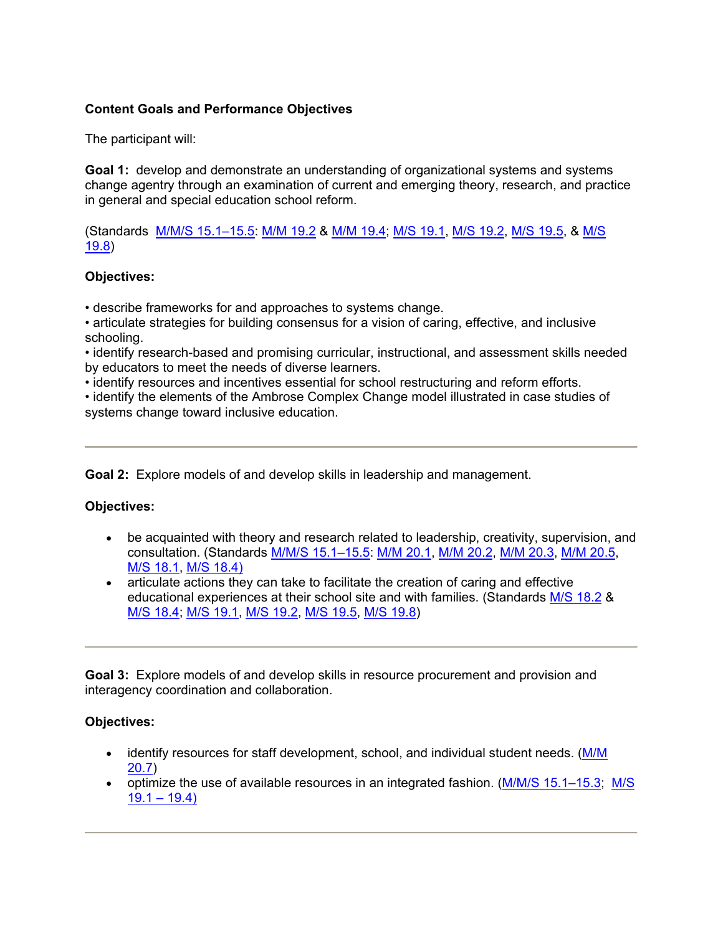# **Content Goals and Performance Objectives**

The participant will:

**Goal 1:** develop and demonstrate an understanding of organizational systems and systems change agentry through an examination of current and emerging theory, research, and practice in general and special education school reform.

(Standards M/M/S 15.1–15.5: M/M 19.2 & M/M 19.4; M/S 19.1, M/S 19.2, M/S 19.5, & M/S 19.8)

### **Objectives:**

• describe frameworks for and approaches to systems change.

• articulate strategies for building consensus for a vision of caring, effective, and inclusive schooling.

• identify research-based and promising curricular, instructional, and assessment skills needed by educators to meet the needs of diverse learners.

• identify resources and incentives essential for school restructuring and reform efforts.

• identify the elements of the Ambrose Complex Change model illustrated in case studies of systems change toward inclusive education.

**Goal 2:** Explore models of and develop skills in leadership and management.

# **Objectives:**

- be acquainted with theory and research related to leadership, creativity, supervision, and consultation. (Standards M/M/S 15.1–15.5: M/M 20.1, M/M 20.2, M/M 20.3, M/M 20.5, M/S 18.1, M/S 18.4)
- articulate actions they can take to facilitate the creation of caring and effective educational experiences at their school site and with families. (Standards M/S 18.2 & M/S 18.4; M/S 19.1, M/S 19.2, M/S 19.5, M/S 19.8)

**Goal 3:** Explore models of and develop skills in resource procurement and provision and interagency coordination and collaboration.

### **Objectives:**

- identify resources for staff development, school, and individual student needs. (M/M 20.7)
- optimize the use of available resources in an integrated fashion. (M/M/S 15.1–15.3; M/S  $19.1 - 19.4$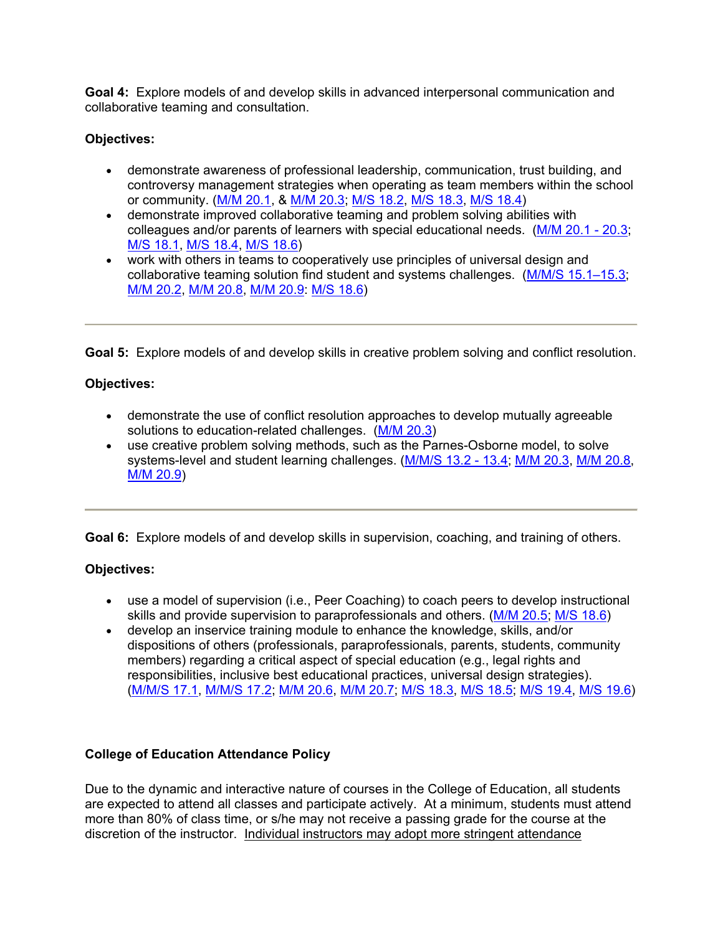**Goal 4:** Explore models of and develop skills in advanced interpersonal communication and collaborative teaming and consultation.

# **Objectives:**

- demonstrate awareness of professional leadership, communication, trust building, and controversy management strategies when operating as team members within the school or community. (M/M 20.1, & M/M 20.3; M/S 18.2, M/S 18.3, M/S 18.4)
- demonstrate improved collaborative teaming and problem solving abilities with colleagues and/or parents of learners with special educational needs. (M/M 20.1 - 20.3; M/S 18.1, M/S 18.4, M/S 18.6)
- work with others in teams to cooperatively use principles of universal design and collaborative teaming solution find student and systems challenges. (M/M/S 15.1–15.3; M/M 20.2, M/M 20.8, M/M 20.9: M/S 18.6)

**Goal 5:** Explore models of and develop skills in creative problem solving and conflict resolution.

# **Objectives:**

- demonstrate the use of conflict resolution approaches to develop mutually agreeable solutions to education-related challenges. (M/M 20.3)
- use creative problem solving methods, such as the Parnes-Osborne model, to solve systems-level and student learning challenges. (M/M/S 13.2 - 13.4; M/M 20.3, M/M 20.8, M/M 20.9)

**Goal 6:** Explore models of and develop skills in supervision, coaching, and training of others.

# **Objectives:**

- use a model of supervision (i.e., Peer Coaching) to coach peers to develop instructional skills and provide supervision to paraprofessionals and others. (M/M 20.5; M/S 18.6)
- develop an inservice training module to enhance the knowledge, skills, and/or dispositions of others (professionals, paraprofessionals, parents, students, community members) regarding a critical aspect of special education (e.g., legal rights and responsibilities, inclusive best educational practices, universal design strategies). (M/M/S 17.1, M/M/S 17.2; M/M 20.6, M/M 20.7; M/S 18.3, M/S 18.5; M/S 19.4, M/S 19.6)

# **College of Education Attendance Policy**

Due to the dynamic and interactive nature of courses in the College of Education, all students are expected to attend all classes and participate actively. At a minimum, students must attend more than 80% of class time, or s/he may not receive a passing grade for the course at the discretion of the instructor. Individual instructors may adopt more stringent attendance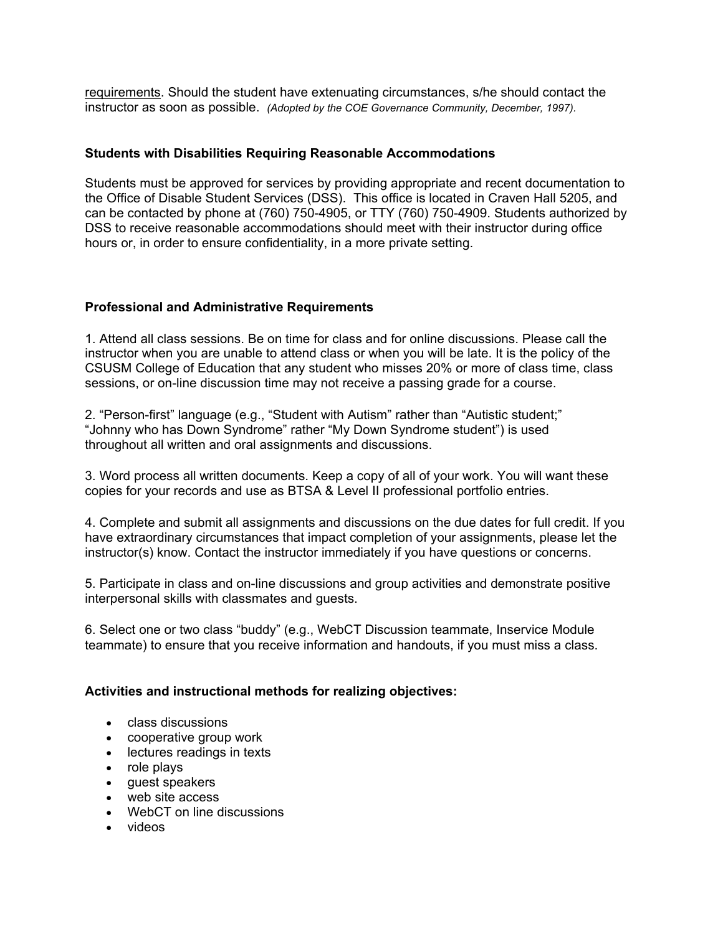requirements. Should the student have extenuating circumstances, s/he should contact the instructor as soon as possible. *(Adopted by the COE Governance Community, December, 1997).*

### **Students with Disabilities Requiring Reasonable Accommodations**

Students must be approved for services by providing appropriate and recent documentation to the Office of Disable Student Services (DSS). This office is located in Craven Hall 5205, and can be contacted by phone at (760) 750-4905, or TTY (760) 750-4909. Students authorized by DSS to receive reasonable accommodations should meet with their instructor during office hours or, in order to ensure confidentiality, in a more private setting.

### **Professional and Administrative Requirements**

1. Attend all class sessions. Be on time for class and for online discussions. Please call the instructor when you are unable to attend class or when you will be late. It is the policy of the CSUSM College of Education that any student who misses 20% or more of class time, class sessions, or on-line discussion time may not receive a passing grade for a course.

2. "Person-first" language (e.g., "Student with Autism" rather than "Autistic student;" "Johnny who has Down Syndrome" rather "My Down Syndrome student") is used throughout all written and oral assignments and discussions.

3. Word process all written documents. Keep a copy of all of your work. You will want these copies for your records and use as BTSA & Level II professional portfolio entries.

4. Complete and submit all assignments and discussions on the due dates for full credit. If you have extraordinary circumstances that impact completion of your assignments, please let the instructor(s) know. Contact the instructor immediately if you have questions or concerns.

5. Participate in class and on-line discussions and group activities and demonstrate positive interpersonal skills with classmates and guests.

6. Select one or two class "buddy" (e.g., WebCT Discussion teammate, Inservice Module teammate) to ensure that you receive information and handouts, if you must miss a class.

### **Activities and instructional methods for realizing objectives:**

- class discussions
- cooperative group work
- lectures readings in texts
- role plays
- guest speakers
- web site access
- WebCT on line discussions
- videos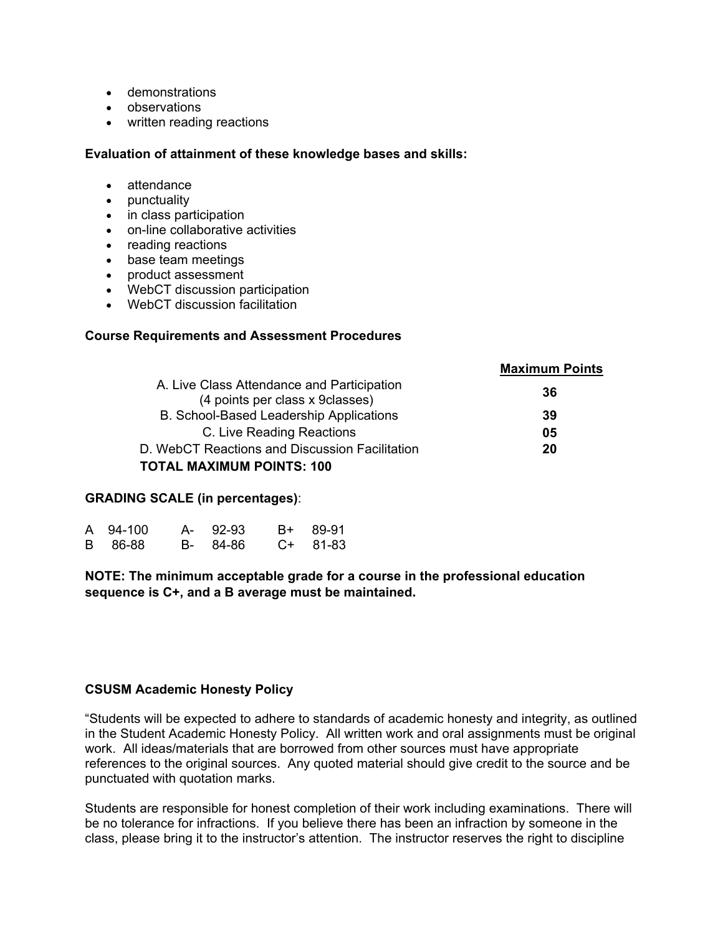- demonstrations
- observations
- written reading reactions

#### **Evaluation of attainment of these knowledge bases and skills:**

- attendance
- punctuality
- in class participation
- on-line collaborative activities
- reading reactions
- base team meetings
- product assessment
- WebCT discussion participation
- WebCT discussion facilitation

#### **Course Requirements and Assessment Procedures**

|                                                                                | <b>Maximum Points</b> |
|--------------------------------------------------------------------------------|-----------------------|
| A. Live Class Attendance and Participation<br>(4 points per class x 9 classes) | 36                    |
| B. School-Based Leadership Applications                                        | 39                    |
| C. Live Reading Reactions                                                      | 05                    |
| D. WebCT Reactions and Discussion Facilitation                                 | 20                    |
| <b>TOTAL MAXIMUM POINTS: 100</b>                                               |                       |

### **GRADING SCALE (in percentages)**:

| A 94-100 | A- 92-93 | B+ 89-91 |
|----------|----------|----------|
| B 86-88  | B- 84-86 | C+ 81-83 |

**NOTE: The minimum acceptable grade for a course in the professional education sequence is C+, and a B average must be maintained.** 

#### **CSUSM Academic Honesty Policy**

"Students will be expected to adhere to standards of academic honesty and integrity, as outlined in the Student Academic Honesty Policy. All written work and oral assignments must be original work. All ideas/materials that are borrowed from other sources must have appropriate references to the original sources. Any quoted material should give credit to the source and be punctuated with quotation marks.

Students are responsible for honest completion of their work including examinations. There will be no tolerance for infractions. If you believe there has been an infraction by someone in the class, please bring it to the instructor's attention. The instructor reserves the right to discipline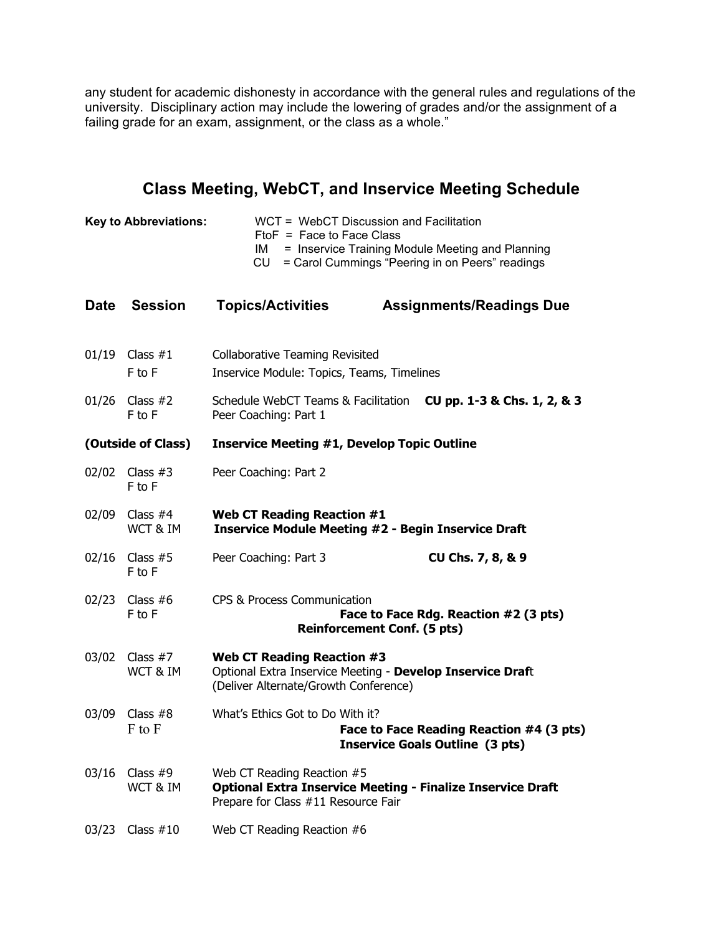any student for academic dishonesty in accordance with the general rules and regulations of the university. Disciplinary action may include the lowering of grades and/or the assignment of a failing grade for an exam, assignment, or the class as a whole."

# **Class Meeting, WebCT, and Inservice Meeting Schedule**

| <b>Key to Abbreviations:</b> |                          | WCT = WebCT Discussion and Facilitation<br>$FtoF = Face to Face Class$<br>= Inservice Training Module Meeting and Planning<br>IM<br>= Carol Cummings "Peering in on Peers" readings<br>CU |  |                                                                                    |  |
|------------------------------|--------------------------|-------------------------------------------------------------------------------------------------------------------------------------------------------------------------------------------|--|------------------------------------------------------------------------------------|--|
| <b>Date</b>                  | <b>Session</b>           | <b>Topics/Activities</b>                                                                                                                                                                  |  | <b>Assignments/Readings Due</b>                                                    |  |
|                              | 01/19 Class #1<br>F to F | <b>Collaborative Teaming Revisited</b><br>Inservice Module: Topics, Teams, Timelines                                                                                                      |  |                                                                                    |  |
| 01/26                        | Class #2<br>F to F       | Schedule WebCT Teams & Facilitation<br>Peer Coaching: Part 1                                                                                                                              |  | CU pp. 1-3 & Chs. 1, 2, & 3                                                        |  |
| (Outside of Class)           |                          | <b>Inservice Meeting #1, Develop Topic Outline</b>                                                                                                                                        |  |                                                                                    |  |
| 02/02                        | Class $#3$<br>F to F     | Peer Coaching: Part 2                                                                                                                                                                     |  |                                                                                    |  |
| 02/09                        | Class $#4$<br>WCT & IM   | <b>Web CT Reading Reaction #1</b><br><b>Inservice Module Meeting #2 - Begin Inservice Draft</b>                                                                                           |  |                                                                                    |  |
| 02/16                        | Class $#5$<br>F to F     | Peer Coaching: Part 3                                                                                                                                                                     |  | CU Chs. 7, 8, & 9                                                                  |  |
| 02/23                        | Class $#6$<br>F to F     | CPS & Process Communication<br><b>Reinforcement Conf. (5 pts)</b>                                                                                                                         |  | Face to Face Rdg. Reaction #2 (3 pts)                                              |  |
| 03/02                        | Class $#7$<br>WCT & IM   | <b>Web CT Reading Reaction #3</b><br>Optional Extra Inservice Meeting - Develop Inservice Draft<br>(Deliver Alternate/Growth Conference)                                                  |  |                                                                                    |  |
| 03/09                        | Class $#8$<br>F to F     | What's Ethics Got to Do With it?                                                                                                                                                          |  | Face to Face Reading Reaction #4 (3 pts)<br><b>Inservice Goals Outline (3 pts)</b> |  |
| 03/16                        | Class $#9$<br>WCT & IM   | Web CT Reading Reaction #5<br><b>Optional Extra Inservice Meeting - Finalize Inservice Draft</b><br>Prepare for Class #11 Resource Fair                                                   |  |                                                                                    |  |
| 03/23                        | Class $#10$              | Web CT Reading Reaction #6                                                                                                                                                                |  |                                                                                    |  |